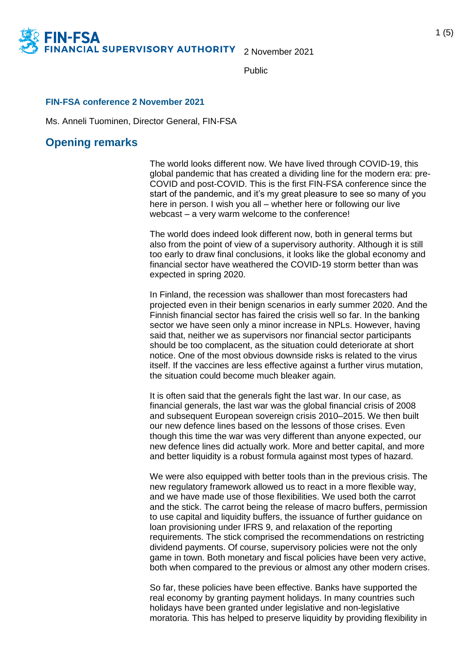

2 November 2021

Public

## **FIN-FSA conference 2 November 2021**

Ms. Anneli Tuominen, Director General, FIN-FSA

## **Opening remarks**

N-FSA

The world looks different now. We have lived through COVID-19, this global pandemic that has created a dividing line for the modern era: pre-COVID and post-COVID. This is the first FIN-FSA conference since the start of the pandemic, and it's my great pleasure to see so many of you here in person. I wish you all – whether here or following our live webcast – a very warm welcome to the conference!

The world does indeed look different now, both in general terms but also from the point of view of a supervisory authority. Although it is still too early to draw final conclusions, it looks like the global economy and financial sector have weathered the COVID-19 storm better than was expected in spring 2020.

In Finland, the recession was shallower than most forecasters had projected even in their benign scenarios in early summer 2020. And the Finnish financial sector has faired the crisis well so far. In the banking sector we have seen only a minor increase in NPLs. However, having said that, neither we as supervisors nor financial sector participants should be too complacent, as the situation could deteriorate at short notice. One of the most obvious downside risks is related to the virus itself. If the vaccines are less effective against a further virus mutation, the situation could become much bleaker again.

It is often said that the generals fight the last war. In our case, as financial generals, the last war was the global financial crisis of 2008 and subsequent European sovereign crisis 2010–2015. We then built our new defence lines based on the lessons of those crises. Even though this time the war was very different than anyone expected, our new defence lines did actually work. More and better capital, and more and better liquidity is a robust formula against most types of hazard.

We were also equipped with better tools than in the previous crisis. The new regulatory framework allowed us to react in a more flexible way, and we have made use of those flexibilities. We used both the carrot and the stick. The carrot being the release of macro buffers, permission to use capital and liquidity buffers, the issuance of further guidance on loan provisioning under IFRS 9, and relaxation of the reporting requirements. The stick comprised the recommendations on restricting dividend payments. Of course, supervisory policies were not the only game in town. Both monetary and fiscal policies have been very active, both when compared to the previous or almost any other modern crises.

So far, these policies have been effective. Banks have supported the real economy by granting payment holidays. In many countries such holidays have been granted under legislative and non-legislative moratoria. This has helped to preserve liquidity by providing flexibility in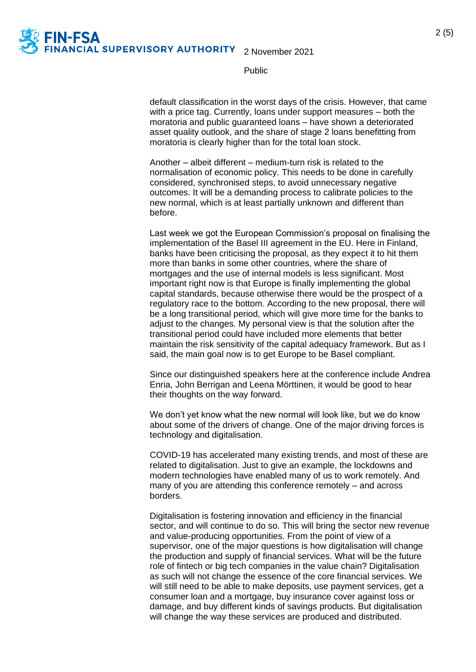

Public

default classification in the worst days of the crisis. However, that came with a price tag. Currently, loans under support measures – both the moratoria and public guaranteed loans – have shown a deteriorated asset quality outlook, and the share of stage 2 loans benefitting from moratoria is clearly higher than for the total loan stock.

Another – albeit different – medium-turn risk is related to the normalisation of economic policy. This needs to be done in carefully considered, synchronised steps, to avoid unnecessary negative outcomes. It will be a demanding process to calibrate policies to the new normal, which is at least partially unknown and different than before.

Last week we got the European Commission's proposal on finalising the implementation of the Basel III agreement in the EU. Here in Finland, banks have been criticising the proposal, as they expect it to hit them more than banks in some other countries, where the share of mortgages and the use of internal models is less significant. Most important right now is that Europe is finally implementing the global capital standards, because otherwise there would be the prospect of a regulatory race to the bottom. According to the new proposal, there will be a long transitional period, which will give more time for the banks to adjust to the changes. My personal view is that the solution after the transitional period could have included more elements that better maintain the risk sensitivity of the capital adequacy framework. But as I said, the main goal now is to get Europe to be Basel compliant.

Since our distinguished speakers here at the conference include Andrea Enria, John Berrigan and Leena Mörttinen, it would be good to hear their thoughts on the way forward.

We don't yet know what the new normal will look like, but we do know about some of the drivers of change. One of the major driving forces is technology and digitalisation.

COVID-19 has accelerated many existing trends, and most of these are related to digitalisation. Just to give an example, the lockdowns and modern technologies have enabled many of us to work remotely. And many of you are attending this conference remotely – and across borders.

Digitalisation is fostering innovation and efficiency in the financial sector, and will continue to do so. This will bring the sector new revenue and value-producing opportunities. From the point of view of a supervisor, one of the major questions is how digitalisation will change the production and supply of financial services. What will be the future role of fintech or big tech companies in the value chain? Digitalisation as such will not change the essence of the core financial services. We will still need to be able to make deposits, use payment services, get a consumer loan and a mortgage, buy insurance cover against loss or damage, and buy different kinds of savings products. But digitalisation will change the way these services are produced and distributed.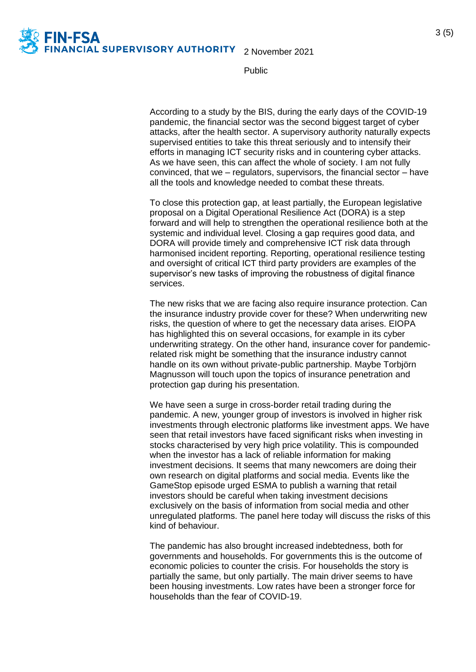

3 (5)

Public

According to a study by the BIS, during the early days of the COVID-19 pandemic, the financial sector was the second biggest target of cyber attacks, after the health sector. A supervisory authority naturally expects supervised entities to take this threat seriously and to intensify their efforts in managing ICT security risks and in countering cyber attacks. As we have seen, this can affect the whole of society. I am not fully convinced, that we  $-$  regulators, supervisors, the financial sector  $-$  have all the tools and knowledge needed to combat these threats.

To close this protection gap, at least partially, the European legislative proposal on a Digital Operational Resilience Act (DORA) is a step forward and will help to strengthen the operational resilience both at the systemic and individual level. Closing a gap requires good data, and DORA will provide timely and comprehensive ICT risk data through harmonised incident reporting. Reporting, operational resilience testing and oversight of critical ICT third party providers are examples of the supervisor's new tasks of improving the robustness of digital finance services.

The new risks that we are facing also require insurance protection. Can the insurance industry provide cover for these? When underwriting new risks, the question of where to get the necessary data arises. EIOPA has highlighted this on several occasions, for example in its cyber underwriting strategy. On the other hand, insurance cover for pandemicrelated risk might be something that the insurance industry cannot handle on its own without private-public partnership. Maybe Torbjörn Magnusson will touch upon the topics of insurance penetration and protection gap during his presentation.

We have seen a surge in cross-border retail trading during the pandemic. A new, younger group of investors is involved in higher risk investments through electronic platforms like investment apps. We have seen that retail investors have faced significant risks when investing in stocks characterised by very high price volatility. This is compounded when the investor has a lack of reliable information for making investment decisions. It seems that many newcomers are doing their own research on digital platforms and social media. Events like the GameStop episode urged ESMA to publish a warning that retail investors should be careful when taking investment decisions exclusively on the basis of information from social media and other unregulated platforms. The panel here today will discuss the risks of this kind of behaviour.

The pandemic has also brought increased indebtedness, both for governments and households. For governments this is the outcome of economic policies to counter the crisis. For households the story is partially the same, but only partially. The main driver seems to have been housing investments. Low rates have been a stronger force for households than the fear of COVID-19.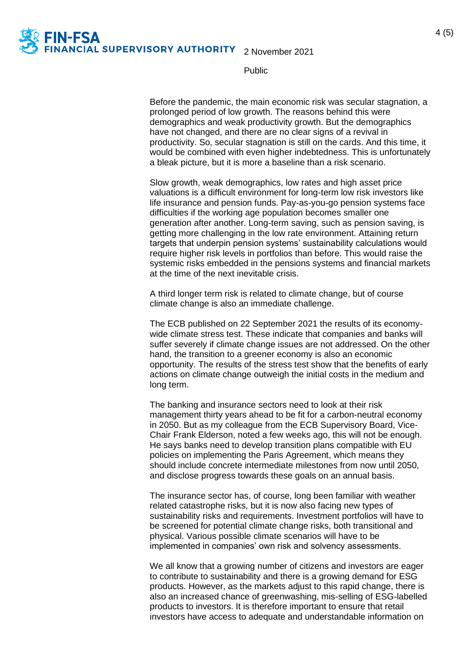

Public

Before the pandemic, the main economic risk was secular stagnation, a prolonged period of low growth. The reasons behind this were demographics and weak productivity growth. But the demographics have not changed, and there are no clear signs of a revival in productivity. So, secular stagnation is still on the cards. And this time, it would be combined with even higher indebtedness. This is unfortunately a bleak picture, but it is more a baseline than a risk scenario.

Slow growth, weak demographics, low rates and high asset price valuations is a difficult environment for long-term low risk investors like life insurance and pension funds. Pay-as-you-go pension systems face difficulties if the working age population becomes smaller one generation after another. Long-term saving, such as pension saving, is getting more challenging in the low rate environment. Attaining return targets that underpin pension systems' sustainability calculations would require higher risk levels in portfolios than before. This would raise the systemic risks embedded in the pensions systems and financial markets at the time of the next inevitable crisis.

A third longer term risk is related to climate change, but of course climate change is also an immediate challenge.

The ECB published on 22 September 2021 the results of its economywide climate stress test. These indicate that companies and banks will suffer severely if climate change issues are not addressed. On the other hand, the transition to a greener economy is also an economic opportunity. The results of the stress test show that the benefits of early actions on climate change outweigh the initial costs in the medium and long term.

The banking and insurance sectors need to look at their risk management thirty years ahead to be fit for a carbon-neutral economy in 2050. But as my colleague from the ECB Supervisory Board, Vice-Chair Frank Elderson, noted a few weeks ago, this will not be enough. He says banks need to develop transition plans compatible with EU policies on implementing the Paris Agreement, which means they should include concrete intermediate milestones from now until 2050, and disclose progress towards these goals on an annual basis.

The insurance sector has, of course, long been familiar with weather related catastrophe risks, but it is now also facing new types of sustainability risks and requirements. Investment portfolios will have to be screened for potential climate change risks, both transitional and physical. Various possible climate scenarios will have to be implemented in companies' own risk and solvency assessments.

We all know that a growing number of citizens and investors are eager to contribute to sustainability and there is a growing demand for ESG products. However, as the markets adjust to this rapid change, there is also an increased chance of greenwashing, mis-selling of ESG-labelled products to investors. It is therefore important to ensure that retail investors have access to adequate and understandable information on